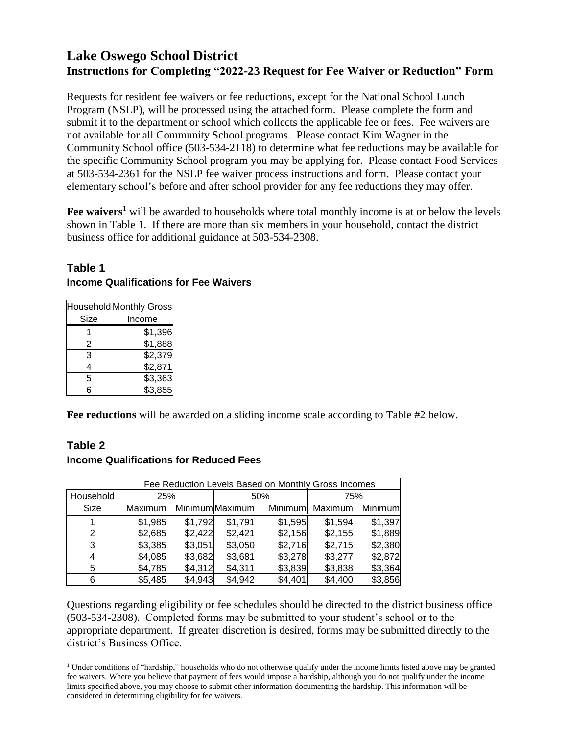## **Lake Oswego School District Instructions for Completing "2022-23 Request for Fee Waiver or Reduction" Form**

Requests for resident fee waivers or fee reductions, except for the National School Lunch Program (NSLP), will be processed using the attached form. Please complete the form and submit it to the department or school which collects the applicable fee or fees. Fee waivers are not available for all Community School programs. Please contact Kim Wagner in the Community School office (503-534-2118) to determine what fee reductions may be available for the specific Community School program you may be applying for. Please contact Food Services at 503-534-2361 for the NSLP fee waiver process instructions and form. Please contact your elementary school's before and after school provider for any fee reductions they may offer.

Fee waivers<sup>1</sup> will be awarded to households where total monthly income is at or below the levels shown in Table 1. If there are more than six members in your household, contact the district business office for additional guidance at 503-534-2308.

## **Table 1 Income Qualifications for Fee Waivers**

|      | Household Monthly Gross |  |  |
|------|-------------------------|--|--|
| Size | Income                  |  |  |
|      | \$1,396                 |  |  |
| 2    | \$1,888                 |  |  |
| 3    | \$2,379                 |  |  |
| 4    | \$2,871                 |  |  |
| 5    | \$3,363                 |  |  |
| 6    | \$3,855                 |  |  |

**Fee reductions** will be awarded on a sliding income scale according to Table #2 below.

## **Table 2**

 $\overline{a}$ 

## **Income Qualifications for Reduced Fees**

|           | Fee Reduction Levels Based on Monthly Gross Incomes |         |                 |         |         |         |
|-----------|-----------------------------------------------------|---------|-----------------|---------|---------|---------|
| Household | 25%                                                 |         | 50%             |         | 75%     |         |
| Size      | Maximum                                             |         | Minimum Maximum | Minimum | Maximum | Minimum |
|           | \$1,985                                             | \$1,792 | \$1,791         | \$1,595 | \$1,594 | \$1,397 |
| 2         | \$2,685                                             | \$2,422 | \$2,421         | \$2,156 | \$2,155 | \$1,889 |
| 3         | \$3,385                                             | \$3,051 | \$3,050         | \$2,716 | \$2,715 | \$2,380 |
| 4         | \$4,085                                             | \$3,682 | \$3,681         | \$3,278 | \$3,277 | \$2,872 |
| 5         | \$4,785                                             | \$4,312 | \$4,311         | \$3,839 | \$3,838 | \$3,364 |
| 6         | \$5,485                                             | \$4,943 | \$4,942         | \$4,401 | \$4,400 | \$3,856 |

Questions regarding eligibility or fee schedules should be directed to the district business office (503-534-2308). Completed forms may be submitted to your student's school or to the appropriate department. If greater discretion is desired, forms may be submitted directly to the district's Business Office.

<sup>&</sup>lt;sup>1</sup> Under conditions of "hardship," households who do not otherwise qualify under the income limits listed above may be granted fee waivers. Where you believe that payment of fees would impose a hardship, although you do not qualify under the income limits specified above, you may choose to submit other information documenting the hardship. This information will be considered in determining eligibility for fee waivers.